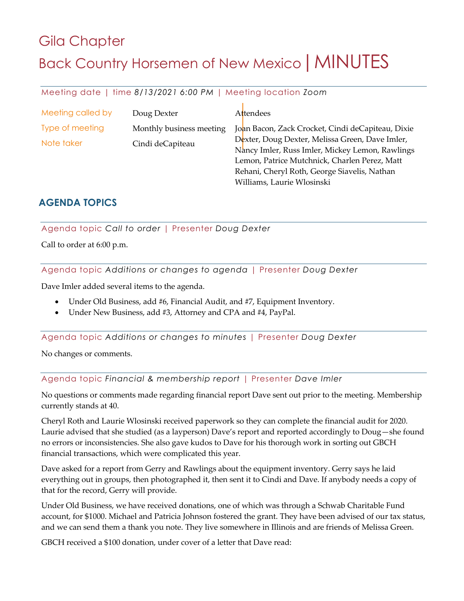# Gila Chapter Back Country Horsemen of New Mexico | MINUTES

Meeting date | time *8/13/2021 6:00 PM* | Meeting location *Zoom*

| Meeting called by | Doug Dexter              | Attendees                                                                                                                                           |
|-------------------|--------------------------|-----------------------------------------------------------------------------------------------------------------------------------------------------|
| Type of meeting   | Monthly business meeting | Joan Bacon, Zack Crocket, Cindi deCapiteau, Dixie                                                                                                   |
| Note taker        | Cindi deCapiteau         | Dexter, Doug Dexter, Melissa Green, Dave Imler,<br>Nancy Imler, Russ Imler, Mickey Lemon, Rawlings<br>Lemon, Patrice Mutchnick, Charlen Perez, Matt |
|                   |                          | Rehani, Cheryl Roth, George Siavelis, Nathan<br>Williams, Laurie Wlosinski                                                                          |

### **AGENDA TOPICS**

Agenda topic *Call to order* | Presenter *Doug Dexter*

Call to order at 6:00 p.m.

Agenda topic *Additions or changes to agenda* | Presenter *Doug Dexter*

Dave Imler added several items to the agenda.

- Under Old Business, add #6, Financial Audit, and #7, Equipment Inventory.
- Under New Business, add #3, Attorney and CPA and #4, PayPal.

Agenda topic *Additions or changes to minutes* | Presenter *Doug Dexter*

No changes or comments.

Agenda topic *Financial & membership report* | Presenter *Dave Imler*

No questions or comments made regarding financial report Dave sent out prior to the meeting. Membership currently stands at 40.

Cheryl Roth and Laurie Wlosinski received paperwork so they can complete the financial audit for 2020. Laurie advised that she studied (as a layperson) Dave's report and reported accordingly to Doug—she found no errors or inconsistencies. She also gave kudos to Dave for his thorough work in sorting out GBCH financial transactions, which were complicated this year.

Dave asked for a report from Gerry and Rawlings about the equipment inventory. Gerry says he laid everything out in groups, then photographed it, then sent it to Cindi and Dave. If anybody needs a copy of that for the record, Gerry will provide.

Under Old Business, we have received donations, one of which was through a Schwab Charitable Fund account, for \$1000. Michael and Patricia Johnson fostered the grant. They have been advised of our tax status, and we can send them a thank you note. They live somewhere in Illinois and are friends of Melissa Green.

GBCH received a \$100 donation, under cover of a letter that Dave read: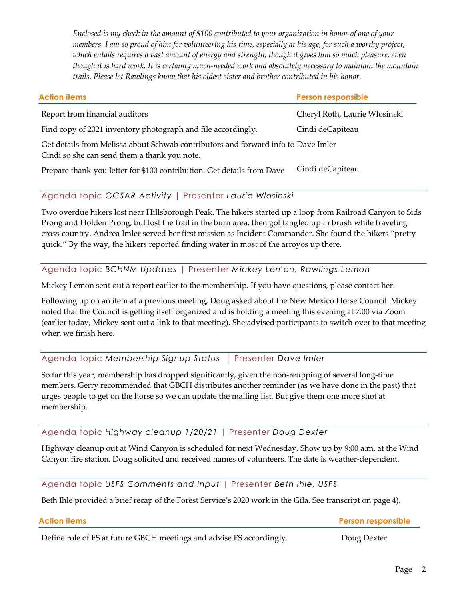*Enclosed is my check in the amount of \$100 contributed to your organization in honor of one of your members. I am so proud of him for volunteering his time, especially at his age, for such a worthy project, which entails requires a vast amount of energy and strength, though it gives him so much pleasure, even though it is hard work. It is certainly much-needed work and absolutely necessary to maintain the mountain trails. Please let Rawlings know that his oldest sister and brother contributed in his honor.* 

| <b>Action items</b>                                                                                                               | <b>Person responsible</b>     |  |
|-----------------------------------------------------------------------------------------------------------------------------------|-------------------------------|--|
| Report from financial auditors                                                                                                    | Cheryl Roth, Laurie Wlosinski |  |
| Find copy of 2021 inventory photograph and file accordingly.                                                                      | Cindi deCapiteau              |  |
| Get details from Melissa about Schwab contributors and forward info to Dave Imler<br>Cindi so she can send them a thank you note. |                               |  |
| Prepare thank-you letter for \$100 contribution. Get details from Dave                                                            | Cindi deCapiteau              |  |

### Agenda topic *GCSAR Activity* | Presenter *Laurie Wlosinski*

Two overdue hikers lost near Hillsborough Peak. The hikers started up a loop from Railroad Canyon to Sids Prong and Holden Prong, but lost the trail in the burn area, then got tangled up in brush while traveling cross-country. Andrea Imler served her first mission as Incident Commander. She found the hikers "pretty quick." By the way, the hikers reported finding water in most of the arroyos up there.

### Agenda topic *BCHNM Updates* | Presenter *Mickey Lemon, Rawlings Lemon*

Mickey Lemon sent out a report earlier to the membership. If you have questions, please contact her.

Following up on an item at a previous meeting, Doug asked about the New Mexico Horse Council. Mickey noted that the Council is getting itself organized and is holding a meeting this evening at 7:00 via Zoom (earlier today, Mickey sent out a link to that meeting). She advised participants to switch over to that meeting when we finish here.

### Agenda topic *Membership Signup Status* | Presenter *Dave Imler*

So far this year, membership has dropped significantly, given the non-reupping of several long-time members. Gerry recommended that GBCH distributes another reminder (as we have done in the past) that urges people to get on the horse so we can update the mailing list. But give them one more shot at membership.

### Agenda topic *Highway cleanup 1/20/21* | Presenter *Doug Dexter*

Highway cleanup out at Wind Canyon is scheduled for next Wednesday. Show up by 9:00 a.m. at the Wind Canyon fire station. Doug solicited and received names of volunteers. The date is weather-dependent.

Agenda topic *USFS Comments and Input* | Presenter *Beth Ihle, USFS*

Beth Ihle provided a brief recap of the Forest Service's 2020 work in the Gila. See transcript on page 4).

Define role of FS at future GBCH meetings and advise FS accordingly. Doug Dexter

**Action items Person responsible**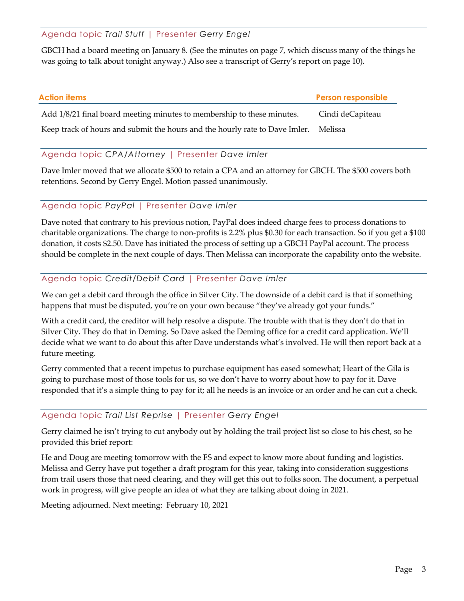Agenda topic *Trail Stuff* | Presenter *Gerry Engel*

GBCH had a board meeting on January 8. (See the minutes on page 7, which discuss many of the things he was going to talk about tonight anyway.) Also see a transcript of Gerry's report on page 10).

| Action items                                                                | <b>Person responsible</b> |
|-----------------------------------------------------------------------------|---------------------------|
| Add 1/8/21 final board meeting minutes to membership to these minutes.      | Cindi deCapiteau          |
| Keep track of hours and submit the hours and the hourly rate to Dave Imler. | Melissa                   |

### Agenda topic *CPA/Attorney* | Presenter *Dave Imler*

Dave Imler moved that we allocate \$500 to retain a CPA and an attorney for GBCH. The \$500 covers both retentions. Second by Gerry Engel. Motion passed unanimously.

### Agenda topic *PayPal* | Presenter *Dave Imler*

Dave noted that contrary to his previous notion, PayPal does indeed charge fees to process donations to charitable organizations. The charge to non-profits is 2.2% plus \$0.30 for each transaction. So if you get a \$100 donation, it costs \$2.50. Dave has initiated the process of setting up a GBCH PayPal account. The process should be complete in the next couple of days. Then Melissa can incorporate the capability onto the website.

### Agenda topic *Credit/Debit Card* | Presenter *Dave Imler*

We can get a debit card through the office in Silver City. The downside of a debit card is that if something happens that must be disputed, you're on your own because "they've already got your funds."

With a credit card, the creditor will help resolve a dispute. The trouble with that is they don't do that in Silver City. They do that in Deming. So Dave asked the Deming office for a credit card application. We'll decide what we want to do about this after Dave understands what's involved. He will then report back at a future meeting.

Gerry commented that a recent impetus to purchase equipment has eased somewhat; Heart of the Gila is going to purchase most of those tools for us, so we don't have to worry about how to pay for it. Dave responded that it's a simple thing to pay for it; all he needs is an invoice or an order and he can cut a check.

### Agenda topic *Trail List Reprise* | Presenter *Gerry Engel*

Gerry claimed he isn't trying to cut anybody out by holding the trail project list so close to his chest, so he provided this brief report:

He and Doug are meeting tomorrow with the FS and expect to know more about funding and logistics. Melissa and Gerry have put together a draft program for this year, taking into consideration suggestions from trail users those that need clearing, and they will get this out to folks soon. The document, a perpetual work in progress, will give people an idea of what they are talking about doing in 2021.

Meeting adjourned. Next meeting: February 10, 2021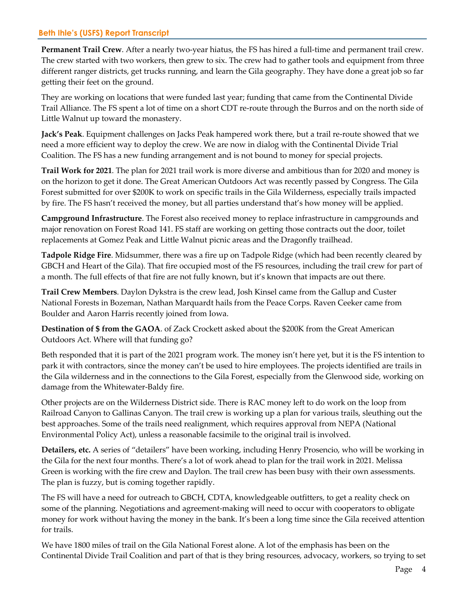### **Beth Ihle's (USFS) Report Transcript**

**Permanent Trail Crew**. After a nearly two-year hiatus, the FS has hired a full-time and permanent trail crew. The crew started with two workers, then grew to six. The crew had to gather tools and equipment from three different ranger districts, get trucks running, and learn the Gila geography. They have done a great job so far getting their feet on the ground.

They are working on locations that were funded last year; funding that came from the Continental Divide Trail Alliance. The FS spent a lot of time on a short CDT re-route through the Burros and on the north side of Little Walnut up toward the monastery.

**Jack's Peak**. Equipment challenges on Jacks Peak hampered work there, but a trail re-route showed that we need a more efficient way to deploy the crew. We are now in dialog with the Continental Divide Trial Coalition. The FS has a new funding arrangement and is not bound to money for special projects.

**Trail Work for 2021**. The plan for 2021 trail work is more diverse and ambitious than for 2020 and money is on the horizon to get it done. The Great American Outdoors Act was recently passed by Congress. The Gila Forest submitted for over \$200K to work on specific trails in the Gila Wilderness, especially trails impacted by fire. The FS hasn't received the money, but all parties understand that's how money will be applied.

**Campground Infrastructure**. The Forest also received money to replace infrastructure in campgrounds and major renovation on Forest Road 141. FS staff are working on getting those contracts out the door, toilet replacements at Gomez Peak and Little Walnut picnic areas and the Dragonfly trailhead.

**Tadpole Ridge Fire**. Midsummer, there was a fire up on Tadpole Ridge (which had been recently cleared by GBCH and Heart of the Gila). That fire occupied most of the FS resources, including the trail crew for part of a month. The full effects of that fire are not fully known, but it's known that impacts are out there.

**Trail Crew Members**. Daylon Dykstra is the crew lead, Josh Kinsel came from the Gallup and Custer National Forests in Bozeman, Nathan Marquardt hails from the Peace Corps. Raven Ceeker came from Boulder and Aaron Harris recently joined from Iowa.

**Destination of \$ from the GAOA**. of Zack Crockett asked about the \$200K from the Great American Outdoors Act. Where will that funding go?

Beth responded that it is part of the 2021 program work. The money isn't here yet, but it is the FS intention to park it with contractors, since the money can't be used to hire employees. The projects identified are trails in the Gila wilderness and in the connections to the Gila Forest, especially from the Glenwood side, working on damage from the Whitewater-Baldy fire.

Other projects are on the Wilderness District side. There is RAC money left to do work on the loop from Railroad Canyon to Gallinas Canyon. The trail crew is working up a plan for various trails, sleuthing out the best approaches. Some of the trails need realignment, which requires approval from NEPA (National Environmental Policy Act), unless a reasonable facsimile to the original trail is involved.

**Detailers, etc.** A series of "detailers" have been working, including Henry Prosencio, who will be working in the Gila for the next four months. There's a lot of work ahead to plan for the trail work in 2021. Melissa Green is working with the fire crew and Daylon. The trail crew has been busy with their own assessments. The plan is fuzzy, but is coming together rapidly.

The FS will have a need for outreach to GBCH, CDTA, knowledgeable outfitters, to get a reality check on some of the planning. Negotiations and agreement-making will need to occur with cooperators to obligate money for work without having the money in the bank. It's been a long time since the Gila received attention for trails.

We have 1800 miles of trail on the Gila National Forest alone. A lot of the emphasis has been on the Continental Divide Trail Coalition and part of that is they bring resources, advocacy, workers, so trying to set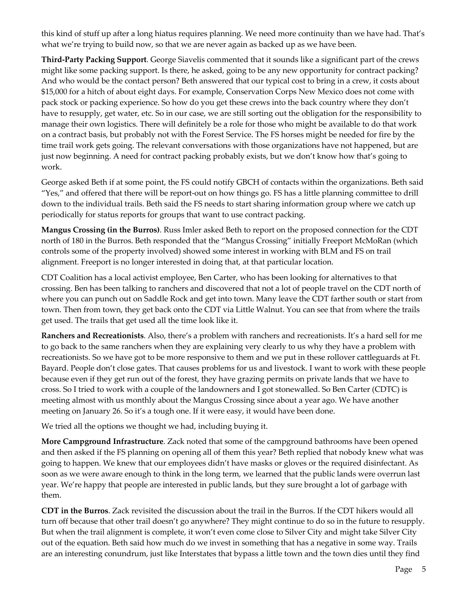this kind of stuff up after a long hiatus requires planning. We need more continuity than we have had. That's what we're trying to build now, so that we are never again as backed up as we have been.

**Third-Party Packing Support**. George Siavelis commented that it sounds like a significant part of the crews might like some packing support. Is there, he asked, going to be any new opportunity for contract packing? And who would be the contact person? Beth answered that our typical cost to bring in a crew, it costs about \$15,000 for a hitch of about eight days. For example, Conservation Corps New Mexico does not come with pack stock or packing experience. So how do you get these crews into the back country where they don't have to resupply, get water, etc. So in our case, we are still sorting out the obligation for the responsibility to manage their own logistics. There will definitely be a role for those who might be available to do that work on a contract basis, but probably not with the Forest Service. The FS horses might be needed for fire by the time trail work gets going. The relevant conversations with those organizations have not happened, but are just now beginning. A need for contract packing probably exists, but we don't know how that's going to work.

George asked Beth if at some point, the FS could notify GBCH of contacts within the organizations. Beth said "Yes," and offered that there will be report-out on how things go. FS has a little planning committee to drill down to the individual trails. Beth said the FS needs to start sharing information group where we catch up periodically for status reports for groups that want to use contract packing.

**Mangus Crossing (in the Burros)**. Russ Imler asked Beth to report on the proposed connection for the CDT north of 180 in the Burros. Beth responded that the "Mangus Crossing" initially Freeport McMoRan (which controls some of the property involved) showed some interest in working with BLM and FS on trail alignment. Freeport is no longer interested in doing that, at that particular location.

CDT Coalition has a local activist employee, Ben Carter, who has been looking for alternatives to that crossing. Ben has been talking to ranchers and discovered that not a lot of people travel on the CDT north of where you can punch out on Saddle Rock and get into town. Many leave the CDT farther south or start from town. Then from town, they get back onto the CDT via Little Walnut. You can see that from where the trails get used. The trails that get used all the time look like it.

**Ranchers and Recreationists**. Also, there's a problem with ranchers and recreationists. It's a hard sell for me to go back to the same ranchers when they are explaining very clearly to us why they have a problem with recreationists. So we have got to be more responsive to them and we put in these rollover cattleguards at Ft. Bayard. People don't close gates. That causes problems for us and livestock. I want to work with these people because even if they get run out of the forest, they have grazing permits on private lands that we have to cross. So I tried to work with a couple of the landowners and I got stonewalled. So Ben Carter (CDTC) is meeting almost with us monthly about the Mangus Crossing since about a year ago. We have another meeting on January 26. So it's a tough one. If it were easy, it would have been done.

We tried all the options we thought we had, including buying it.

**More Campground Infrastructure**. Zack noted that some of the campground bathrooms have been opened and then asked if the FS planning on opening all of them this year? Beth replied that nobody knew what was going to happen. We knew that our employees didn't have masks or gloves or the required disinfectant. As soon as we were aware enough to think in the long term, we learned that the public lands were overrun last year. We're happy that people are interested in public lands, but they sure brought a lot of garbage with them.

**CDT in the Burros**. Zack revisited the discussion about the trail in the Burros. If the CDT hikers would all turn off because that other trail doesn't go anywhere? They might continue to do so in the future to resupply. But when the trail alignment is complete, it won't even come close to Silver City and might take Silver City out of the equation. Beth said how much do we invest in something that has a negative in some way. Trails are an interesting conundrum, just like Interstates that bypass a little town and the town dies until they find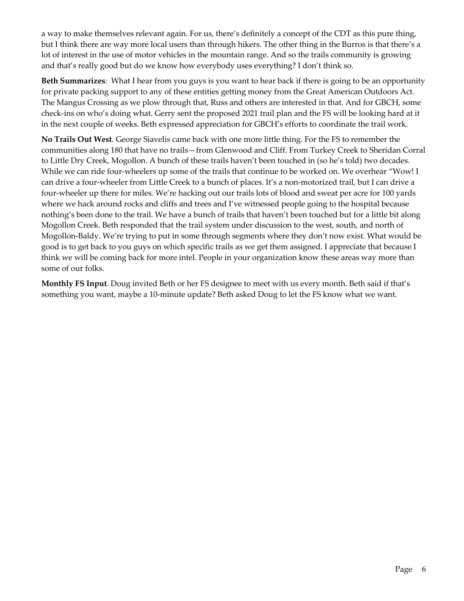a way to make themselves relevant again. For us, there's definitely a concept of the CDT as this pure thing, but I think there are way more local users than through hikers. The other thing in the Burros is that there's a lot of interest in the use of motor vehicles in the mountain range. And so the trails community is growing and that's really good but do we know how everybody uses everything? I don't think so.

**Beth Summarizes**: What I hear from you guys is you want to hear back if there is going to be an opportunity for private packing support to any of these entities getting money from the Great American Outdoors Act. The Mangus Crossing as we plow through that, Russ and others are interested in that. And for GBCH, some check-ins on who's doing what. Gerry sent the proposed 2021 trail plan and the FS will be looking hard at it in the next couple of weeks. Beth expressed appreciation for GBCH's efforts to coordinate the trail work.

**No Trails Out West**. George Siavelis came back with one more little thing. For the FS to remember the communities along 180 that have no trails—from Glenwood and Cliff. From Turkey Creek to Sheridan Corral to Little Dry Creek, Mogollon. A bunch of these trails haven't been touched in (so he's told) two decades. While we can ride four-wheelers up some of the trails that continue to be worked on. We overhear "Wow! I can drive a four-wheeler from Little Creek to a bunch of places. It's a non-motorized trail, but I can drive a four-wheeler up there for miles. We're hacking out our trails lots of blood and sweat per acre for 100 yards where we hack around rocks and cliffs and trees and I've witnessed people going to the hospital because nothing's been done to the trail. We have a bunch of trails that haven't been touched but for a little bit along Mogollon Creek. Beth responded that the trail system under discussion to the west, south, and north of Mogollon-Baldy. We're trying to put in some through segments where they don't now exist. What would be good is to get back to you guys on which specific trails as we get them assigned. I appreciate that because I think we will be coming back for more intel. People in your organization know these areas way more than some of our folks.

**Monthly FS Input**. Doug invited Beth or her FS designee to meet with us every month. Beth said if that's something you want, maybe a 10-minute update? Beth asked Doug to let the FS know what we want.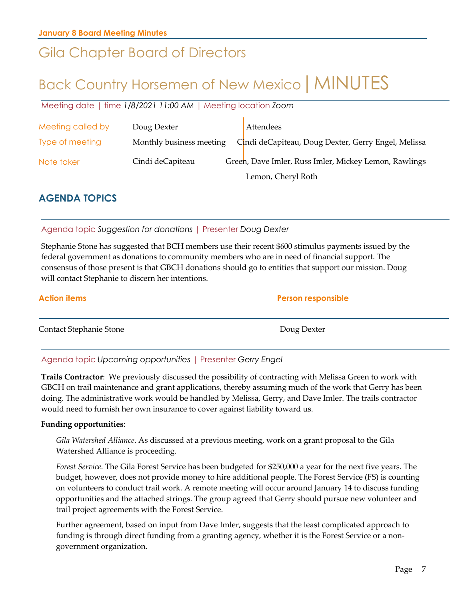### Gila Chapter Board of Directors

## Back Country Horsemen of New Mexico | MINUTES

Meeting date | time *1/8/2021 11:00 AM* | Meeting location *Zoom*

| Meeting called by | Doug Dexter              | Attendees                                             |
|-------------------|--------------------------|-------------------------------------------------------|
| Type of meeting   | Monthly business meeting | Cindi deCapiteau, Doug Dexter, Gerry Engel, Melissa   |
| Note taker        | Cindi deCapiteau         | Green, Dave Imler, Russ Imler, Mickey Lemon, Rawlings |
|                   |                          | Lemon, Cheryl Roth                                    |

### **AGENDA TOPICS**

### Agenda topic *Suggestion for donations* | Presenter *Doug Dexter*

Stephanie Stone has suggested that BCH members use their recent \$600 stimulus payments issued by the federal government as donations to community members who are in need of financial support. The consensus of those present is that GBCH donations should go to entities that support our mission. Doug will contact Stephanie to discern her intentions.

| <b>Action items</b>     | <b>Person responsible</b> |
|-------------------------|---------------------------|
| Contact Stephanie Stone | Doug Dexter               |

### Agenda topic *Upcoming opportunities* | Presenter *Gerry Engel*

**Trails Contractor**: We previously discussed the possibility of contracting with Melissa Green to work with GBCH on trail maintenance and grant applications, thereby assuming much of the work that Gerry has been doing. The administrative work would be handled by Melissa, Gerry, and Dave Imler. The trails contractor would need to furnish her own insurance to cover against liability toward us.

### **Funding opportunities**:

*Gila Watershed Alliance*. As discussed at a previous meeting, work on a grant proposal to the Gila Watershed Alliance is proceeding.

*Forest Service*. The Gila Forest Service has been budgeted for \$250,000 a year for the next five years. The budget, however, does not provide money to hire additional people. The Forest Service (FS) is counting on volunteers to conduct trail work. A remote meeting will occur around January 14 to discuss funding opportunities and the attached strings. The group agreed that Gerry should pursue new volunteer and trail project agreements with the Forest Service.

Further agreement, based on input from Dave Imler, suggests that the least complicated approach to funding is through direct funding from a granting agency, whether it is the Forest Service or a nongovernment organization.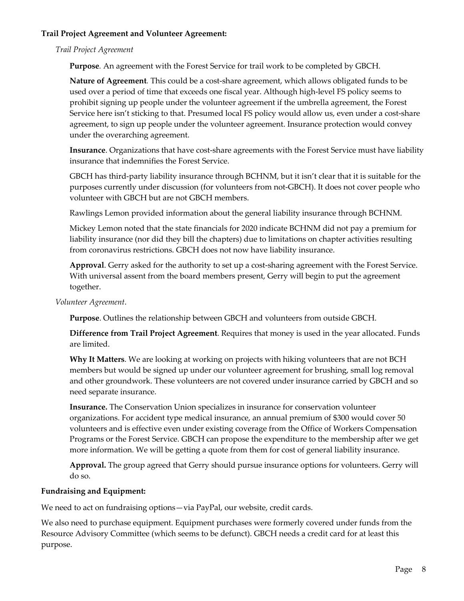### **Trail Project Agreement and Volunteer Agreement:**

*Trail Project Agreement* 

**Purpose***.* An agreement with the Forest Service for trail work to be completed by GBCH.

**Nature of Agreement***.* This could be a cost-share agreement, which allows obligated funds to be used over a period of time that exceeds one fiscal year. Although high-level FS policy seems to prohibit signing up people under the volunteer agreement if the umbrella agreement, the Forest Service here isn't sticking to that. Presumed local FS policy would allow us, even under a cost-share agreement, to sign up people under the volunteer agreement. Insurance protection would convey under the overarching agreement.

**Insurance**. Organizations that have cost-share agreements with the Forest Service must have liability insurance that indemnifies the Forest Service.

GBCH has third-party liability insurance through BCHNM, but it isn't clear that it is suitable for the purposes currently under discussion (for volunteers from not-GBCH). It does not cover people who volunteer with GBCH but are not GBCH members.

Rawlings Lemon provided information about the general liability insurance through BCHNM.

Mickey Lemon noted that the state financials for 2020 indicate BCHNM did not pay a premium for liability insurance (nor did they bill the chapters) due to limitations on chapter activities resulting from coronavirus restrictions. GBCH does not now have liability insurance.

**Approval**. Gerry asked for the authority to set up a cost-sharing agreement with the Forest Service. With universal assent from the board members present, Gerry will begin to put the agreement together.

*Volunteer Agreement*.

**Purpose**. Outlines the relationship between GBCH and volunteers from outside GBCH.

**Difference from Trail Project Agreement**. Requires that money is used in the year allocated. Funds are limited.

**Why It Matters**. We are looking at working on projects with hiking volunteers that are not BCH members but would be signed up under our volunteer agreement for brushing, small log removal and other groundwork. These volunteers are not covered under insurance carried by GBCH and so need separate insurance.

**Insurance.** The Conservation Union specializes in insurance for conservation volunteer organizations. For accident type medical insurance, an annual premium of \$300 would cover 50 volunteers and is effective even under existing coverage from the Office of Workers Compensation Programs or the Forest Service. GBCH can propose the expenditure to the membership after we get more information. We will be getting a quote from them for cost of general liability insurance.

**Approval.** The group agreed that Gerry should pursue insurance options for volunteers. Gerry will do so.

### **Fundraising and Equipment:**

We need to act on fundraising options—via PayPal, our website, credit cards.

We also need to purchase equipment. Equipment purchases were formerly covered under funds from the Resource Advisory Committee (which seems to be defunct). GBCH needs a credit card for at least this purpose.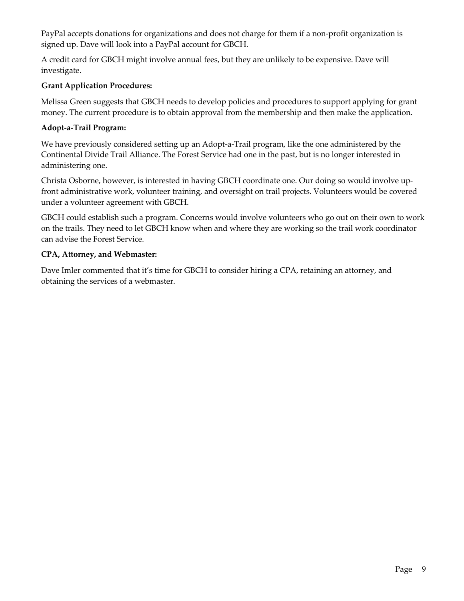PayPal accepts donations for organizations and does not charge for them if a non-profit organization is signed up. Dave will look into a PayPal account for GBCH.

A credit card for GBCH might involve annual fees, but they are unlikely to be expensive. Dave will investigate.

### **Grant Application Procedures:**

Melissa Green suggests that GBCH needs to develop policies and procedures to support applying for grant money. The current procedure is to obtain approval from the membership and then make the application.

### **Adopt-a-Trail Program:**

We have previously considered setting up an Adopt-a-Trail program, like the one administered by the Continental Divide Trail Alliance. The Forest Service had one in the past, but is no longer interested in administering one.

Christa Osborne, however, is interested in having GBCH coordinate one. Our doing so would involve upfront administrative work, volunteer training, and oversight on trail projects. Volunteers would be covered under a volunteer agreement with GBCH.

GBCH could establish such a program. Concerns would involve volunteers who go out on their own to work on the trails. They need to let GBCH know when and where they are working so the trail work coordinator can advise the Forest Service.

### **CPA, Attorney, and Webmaster:**

Dave Imler commented that it's time for GBCH to consider hiring a CPA, retaining an attorney, and obtaining the services of a webmaster.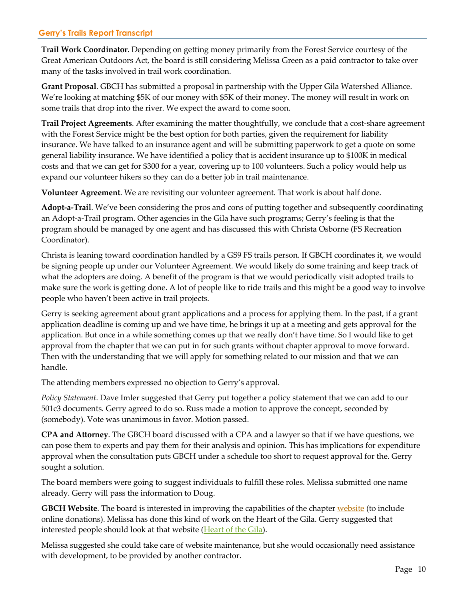### **Gerry's Trails Report Transcript**

**Trail Work Coordinator**. Depending on getting money primarily from the Forest Service courtesy of the Great American Outdoors Act, the board is still considering Melissa Green as a paid contractor to take over many of the tasks involved in trail work coordination.

**Grant Proposal**. GBCH has submitted a proposal in partnership with the Upper Gila Watershed Alliance. We're looking at matching \$5K of our money with \$5K of their money. The money will result in work on some trails that drop into the river. We expect the award to come soon.

**Trail Project Agreements**. After examining the matter thoughtfully, we conclude that a cost-share agreement with the Forest Service might be the best option for both parties, given the requirement for liability insurance. We have talked to an insurance agent and will be submitting paperwork to get a quote on some general liability insurance. We have identified a policy that is accident insurance up to \$100K in medical costs and that we can get for \$300 for a year, covering up to 100 volunteers. Such a policy would help us expand our volunteer hikers so they can do a better job in trail maintenance.

**Volunteer Agreement**. We are revisiting our volunteer agreement. That work is about half done.

**Adopt-a-Trail**. We've been considering the pros and cons of putting together and subsequently coordinating an Adopt-a-Trail program. Other agencies in the Gila have such programs; Gerry's feeling is that the program should be managed by one agent and has discussed this with Christa Osborne (FS Recreation Coordinator).

Christa is leaning toward coordination handled by a GS9 FS trails person. If GBCH coordinates it, we would be signing people up under our Volunteer Agreement. We would likely do some training and keep track of what the adopters are doing. A benefit of the program is that we would periodically visit adopted trails to make sure the work is getting done. A lot of people like to ride trails and this might be a good way to involve people who haven't been active in trail projects.

Gerry is seeking agreement about grant applications and a process for applying them. In the past, if a grant application deadline is coming up and we have time, he brings it up at a meeting and gets approval for the application. But once in a while something comes up that we really don't have time. So I would like to get approval from the chapter that we can put in for such grants without chapter approval to move forward. Then with the understanding that we will apply for something related to our mission and that we can handle.

The attending members expressed no objection to Gerry's approval.

*Policy Statement*. Dave Imler suggested that Gerry put together a policy statement that we can add to our 501c3 documents. Gerry agreed to do so. Russ made a motion to approve the concept, seconded by (somebody). Vote was unanimous in favor. Motion passed.

**CPA and Attorney**. The GBCH board discussed with a CPA and a lawyer so that if we have questions, we can pose them to experts and pay them for their analysis and opinion. This has implications for expenditure approval when the consultation puts GBCH under a schedule too short to request approval for the. Gerry sought a solution.

The board members were going to suggest individuals to fulfill these roles. Melissa submitted one name already. Gerry will pass the information to Doug.

**GBCH Website**. The board is interested in improving the capabilities of the chapter *website* (to include online donations). Melissa has done this kind of work on the Heart of the Gila. Gerry suggested that interested people should look at that website (Heart of the Gila).

Melissa suggested she could take care of website maintenance, but she would occasionally need assistance with development, to be provided by another contractor.